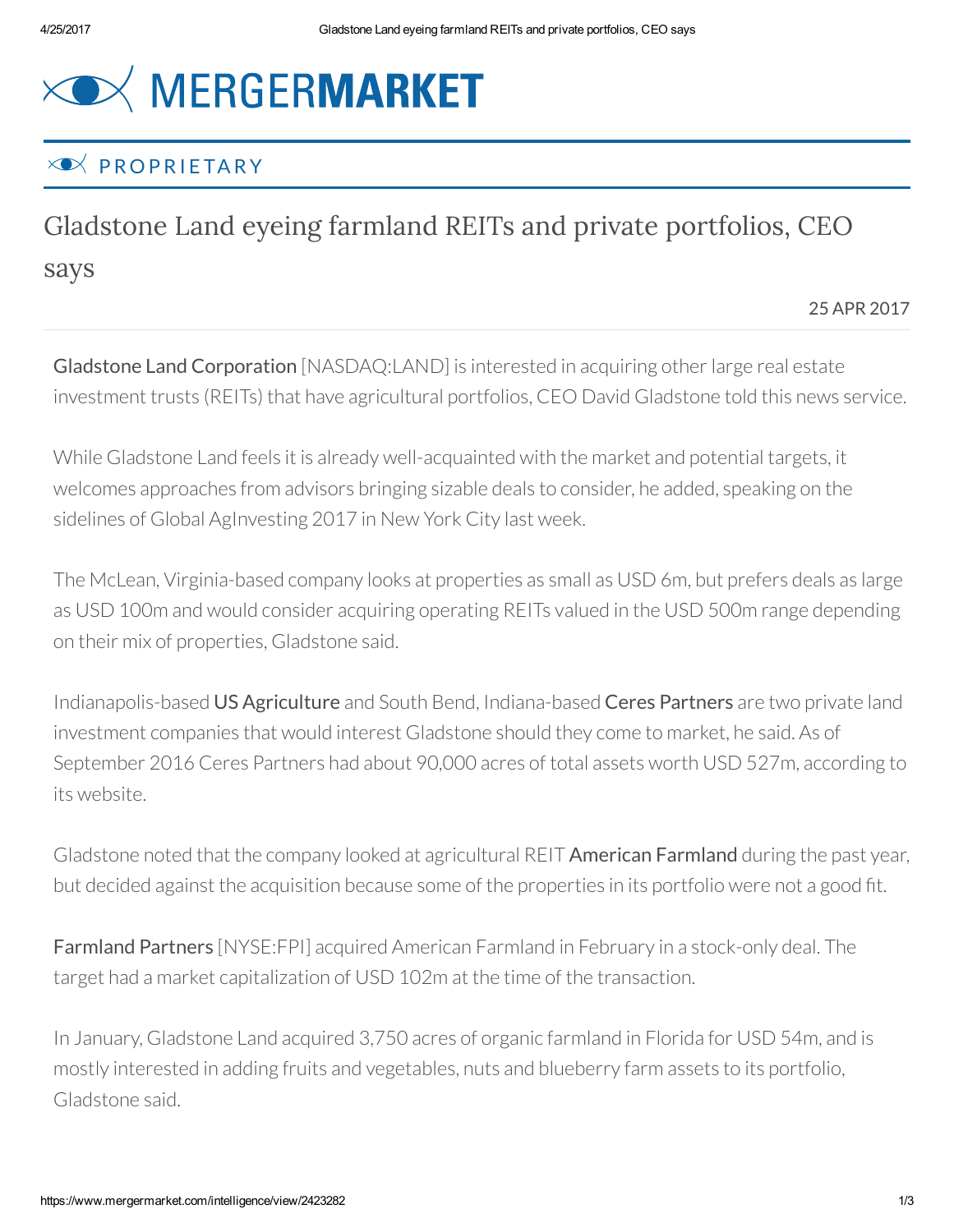## **XOX MERGERMARKET**

## $\times \bullet \times$  PROPRIFTARY

## Gladstone Land eyeing farmland REITs and private portfolios, CEO says

25 APR 2017

Gladstone Land Corporation [NASDAQ:LAND] is interested in acquiring other large real estate investment trusts (REITs) that have agricultural portfolios, CEO David Gladstone told this news service.

While Gladstone Land feels it is already well-acquainted with the market and potential targets, it welcomes approaches from advisors bringing sizable deals to consider, he added, speaking on the sidelines of Global AgInvesting 2017 in New York City last week.

The McLean, Virginia-based company looks at properties as small as USD 6m, but prefers deals as large as USD 100m and would consider acquiring operating REITs valued in the USD 500m range depending on their mix of properties, Gladstone said.

Indianapolis-based US Agriculture and South Bend, Indiana-based Ceres Partners are two private land investment companies that would interest Gladstone should they come to market, he said. As of September 2016 Ceres Partners had about 90,000 acres of total assets worth USD 527m, according to its website.

Gladstone noted that the company looked at agricultural REIT **American Farmland** during the past year, but decided against the acquisition because some of the properties in its portfolio were not a good ít.

Farmland Partners [NYSE:FPI] acquired American Farmland in February in a stock-only deal. The target had a market capitalization of USD 102m at the time of the transaction.

In January, Gladstone Land acquired 3,750 acres of organic farmland in Florida for USD 54m, and is mostly interested in adding fruits and vegetables, nuts and blueberry farm assets to its portfolio, Gladstone said.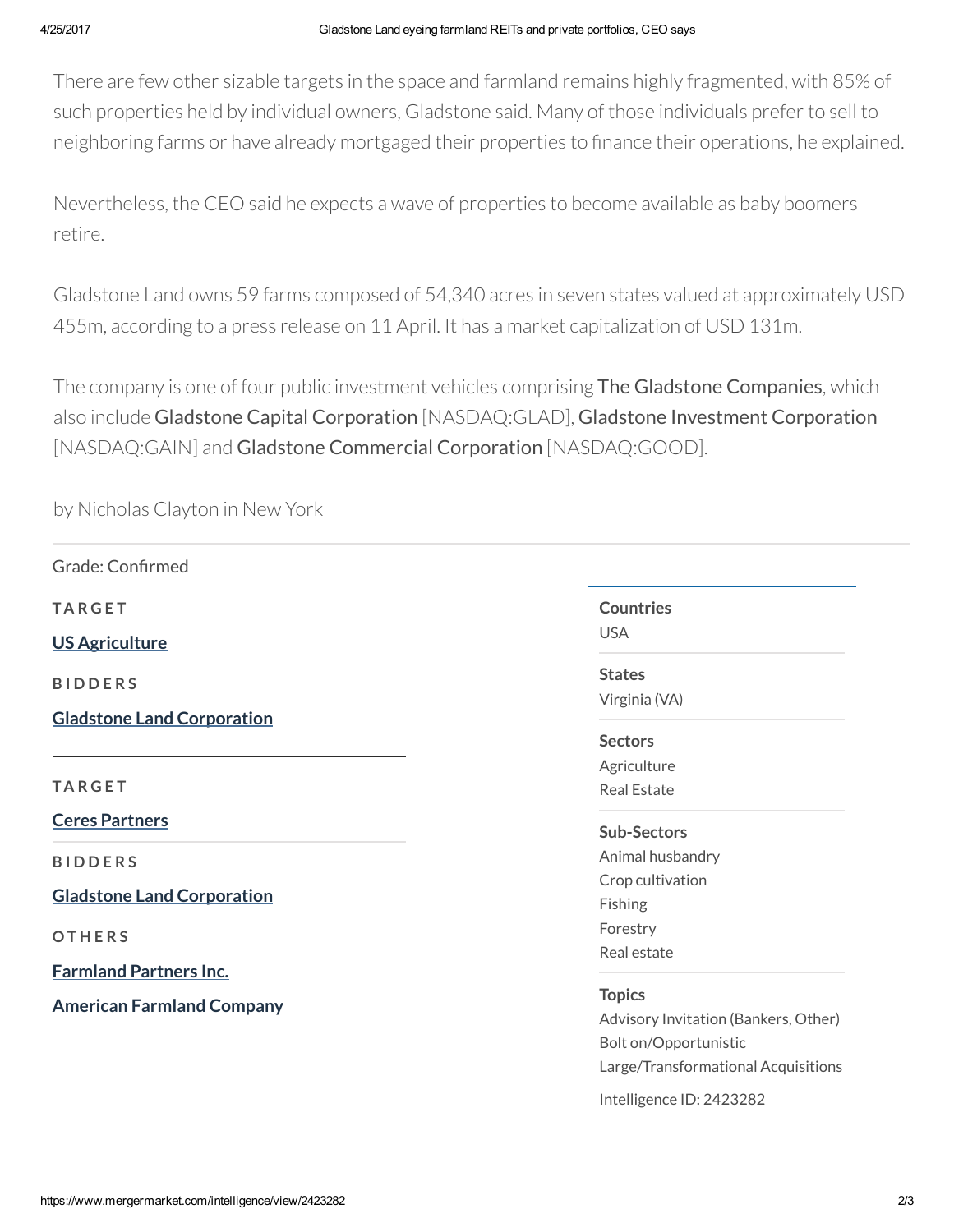There are few other sizable targets in the space and farmland remains highly fragmented, with 85% of such properties held by individual owners, Gladstone said. Many of those individuals prefer to sell to neighboring farms or have already mortgaged their properties to finance their operations, he explained.

Nevertheless, the CEO said he expects a wave of properties to become available as baby boomers retire.

Gladstone Land owns 59 farms composed of 54,340 acres in seven states valued at approximately USD 455m, according to a press release on 11 April. It has a market capitalization of USD 131m.

The company is one of four public investment vehicles comprising The Gladstone Companies, which also include Gladstone Capital Corporation [NASDAQ:GLAD], Gladstone Investment Corporation [NASDAQ:GAIN] and Gladstone Commercial Corporation [NASDAQ:GOOD].

by Nicholas Clayton in New York

| <b>Countries</b>                     |
|--------------------------------------|
| <b>USA</b>                           |
| <b>States</b>                        |
| Virginia (VA)                        |
| <b>Sectors</b>                       |
| Agriculture                          |
| <b>Real Estate</b>                   |
| <b>Sub-Sectors</b>                   |
| Animal husbandry                     |
| Crop cultivation                     |
| Fishing                              |
| Forestry                             |
| Real estate                          |
|                                      |
| <b>Topics</b>                        |
| Advisory Invitation (Bankers, Other) |
| Bolt on/Opportunistic                |
| Large/Transformational Acquisitions  |
|                                      |

Intelligence ID: 2423282